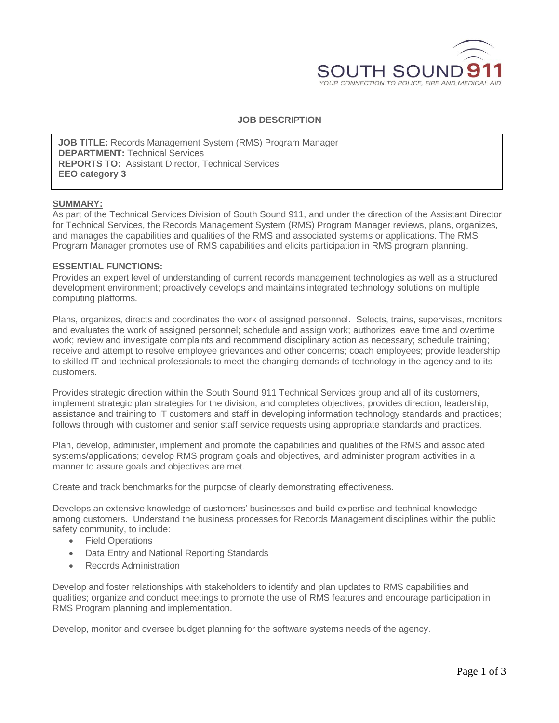

# **JOB DESCRIPTION**

**JOB TITLE:** Records Management System (RMS) Program Manager **DEPARTMENT:** Technical Services **REPORTS TO:** Assistant Director, Technical Services **EEO category 3**

### **SUMMARY:**

As part of the Technical Services Division of South Sound 911, and under the direction of the Assistant Director for Technical Services, the Records Management System (RMS) Program Manager reviews, plans, organizes, and manages the capabilities and qualities of the RMS and associated systems or applications. The RMS Program Manager promotes use of RMS capabilities and elicits participation in RMS program planning.

#### **ESSENTIAL FUNCTIONS:**

Provides an expert level of understanding of current records management technologies as well as a structured development environment; proactively develops and maintains integrated technology solutions on multiple computing platforms.

Plans, organizes, directs and coordinates the work of assigned personnel. Selects, trains, supervises, monitors and evaluates the work of assigned personnel; schedule and assign work; authorizes leave time and overtime work; review and investigate complaints and recommend disciplinary action as necessary; schedule training; receive and attempt to resolve employee grievances and other concerns; coach employees; provide leadership to skilled IT and technical professionals to meet the changing demands of technology in the agency and to its customers.

Provides strategic direction within the South Sound 911 Technical Services group and all of its customers, implement strategic plan strategies for the division, and completes objectives; provides direction, leadership, assistance and training to IT customers and staff in developing information technology standards and practices; follows through with customer and senior staff service requests using appropriate standards and practices.

Plan, develop, administer, implement and promote the capabilities and qualities of the RMS and associated systems/applications; develop RMS program goals and objectives, and administer program activities in a manner to assure goals and objectives are met.

Create and track benchmarks for the purpose of clearly demonstrating effectiveness.

Develops an extensive knowledge of customers' businesses and build expertise and technical knowledge among customers. Understand the business processes for Records Management disciplines within the public safety community, to include:

- **•** Field Operations
- Data Entry and National Reporting Standards
- Records Administration

Develop and foster relationships with stakeholders to identify and plan updates to RMS capabilities and qualities; organize and conduct meetings to promote the use of RMS features and encourage participation in RMS Program planning and implementation.

Develop, monitor and oversee budget planning for the software systems needs of the agency.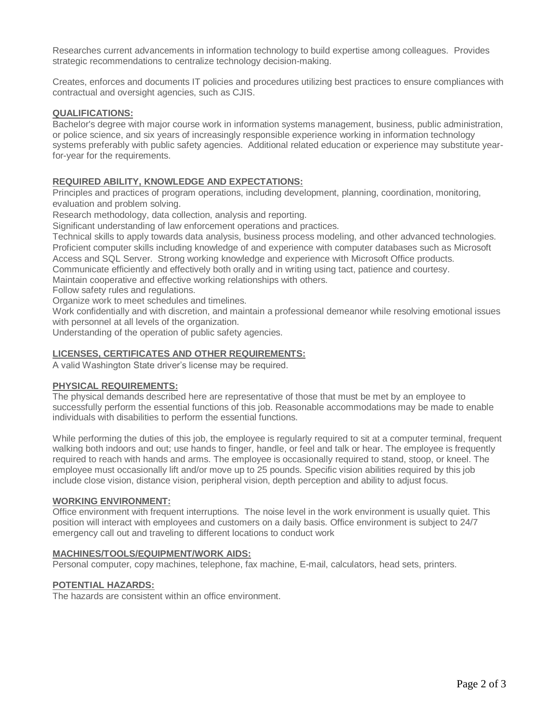Researches current advancements in information technology to build expertise among colleagues. Provides strategic recommendations to centralize technology decision-making.

Creates, enforces and documents IT policies and procedures utilizing best practices to ensure compliances with contractual and oversight agencies, such as CJIS.

### **QUALIFICATIONS:**

Bachelor's degree with major course work in information systems management, business, public administration, or police science, and six years of increasingly responsible experience working in information technology systems preferably with public safety agencies. Additional related education or experience may substitute yearfor-year for the requirements.

### **REQUIRED ABILITY, KNOWLEDGE AND EXPECTATIONS:**

Principles and practices of program operations, including development, planning, coordination, monitoring, evaluation and problem solving.

Research methodology, data collection, analysis and reporting.

Significant understanding of law enforcement operations and practices.

Technical skills to apply towards data analysis, business process modeling, and other advanced technologies. Proficient computer skills including knowledge of and experience with computer databases such as Microsoft Access and SQL Server. Strong working knowledge and experience with Microsoft Office products.

Communicate efficiently and effectively both orally and in writing using tact, patience and courtesy.

Maintain cooperative and effective working relationships with others.

Follow safety rules and regulations.

Organize work to meet schedules and timelines.

Work confidentially and with discretion, and maintain a professional demeanor while resolving emotional issues with personnel at all levels of the organization.

Understanding of the operation of public safety agencies.

### **LICENSES, CERTIFICATES AND OTHER REQUIREMENTS:**

A valid Washington State driver's license may be required.

### **PHYSICAL REQUIREMENTS:**

The physical demands described here are representative of those that must be met by an employee to successfully perform the essential functions of this job. Reasonable accommodations may be made to enable individuals with disabilities to perform the essential functions.

While performing the duties of this job, the employee is regularly required to sit at a computer terminal, frequent walking both indoors and out; use hands to finger, handle, or feel and talk or hear. The employee is frequently required to reach with hands and arms. The employee is occasionally required to stand, stoop, or kneel. The employee must occasionally lift and/or move up to 25 pounds. Specific vision abilities required by this job include close vision, distance vision, peripheral vision, depth perception and ability to adjust focus.

### **WORKING ENVIRONMENT:**

Office environment with frequent interruptions. The noise level in the work environment is usually quiet. This position will interact with employees and customers on a daily basis. Office environment is subject to 24/7 emergency call out and traveling to different locations to conduct work

#### **MACHINES/TOOLS/EQUIPMENT/WORK AIDS:**

Personal computer, copy machines, telephone, fax machine, E-mail, calculators, head sets, printers.

### **POTENTIAL HAZARDS:**

The hazards are consistent within an office environment.